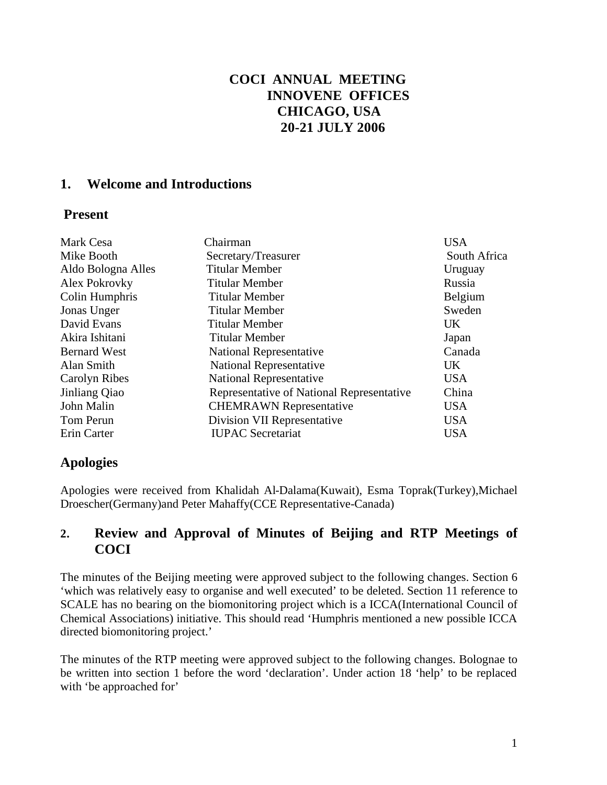# **COCI ANNUAL MEETING INNOVENE OFFICES CHICAGO, USA 20-21 JULY 2006**

### **1. Welcome and Introductions**

### **Present**

| Mark Cesa           | Chairman                                  | <b>USA</b>     |
|---------------------|-------------------------------------------|----------------|
| Mike Booth          | Secretary/Treasurer                       | South Africa   |
| Aldo Bologna Alles  | <b>Titular Member</b>                     | Uruguay        |
| Alex Pokrovky       | <b>Titular Member</b>                     | Russia         |
| Colin Humphris      | <b>Titular Member</b>                     | <b>Belgium</b> |
| Jonas Unger         | <b>Titular Member</b>                     | Sweden         |
| David Evans         | <b>Titular Member</b>                     | <b>UK</b>      |
| Akira Ishitani      | <b>Titular Member</b>                     | Japan          |
| <b>Bernard West</b> | <b>National Representative</b>            | Canada         |
| Alan Smith          | <b>National Representative</b>            | UK.            |
| Carolyn Ribes       | <b>National Representative</b>            | <b>USA</b>     |
| Jinliang Qiao       | Representative of National Representative | China          |
| John Malin          | <b>CHEMRAWN</b> Representative            | <b>USA</b>     |
| Tom Perun           | Division VII Representative               | <b>USA</b>     |
| Erin Carter         | <b>IUPAC</b> Secretariat                  | <b>USA</b>     |

# **Apologies**

Apologies were received from Khalidah Al-Dalama(Kuwait), Esma Toprak(Turkey),Michael Droescher(Germany)and Peter Mahaffy(CCE Representative-Canada)

# **2. Review and Approval of Minutes of Beijing and RTP Meetings of COCI**

The minutes of the Beijing meeting were approved subject to the following changes. Section 6 'which was relatively easy to organise and well executed' to be deleted. Section 11 reference to SCALE has no bearing on the biomonitoring project which is a ICCA(International Council of Chemical Associations) initiative. This should read 'Humphris mentioned a new possible ICCA directed biomonitoring project.'

The minutes of the RTP meeting were approved subject to the following changes. Bolognae to be written into section 1 before the word 'declaration'. Under action 18 'help' to be replaced with 'be approached for'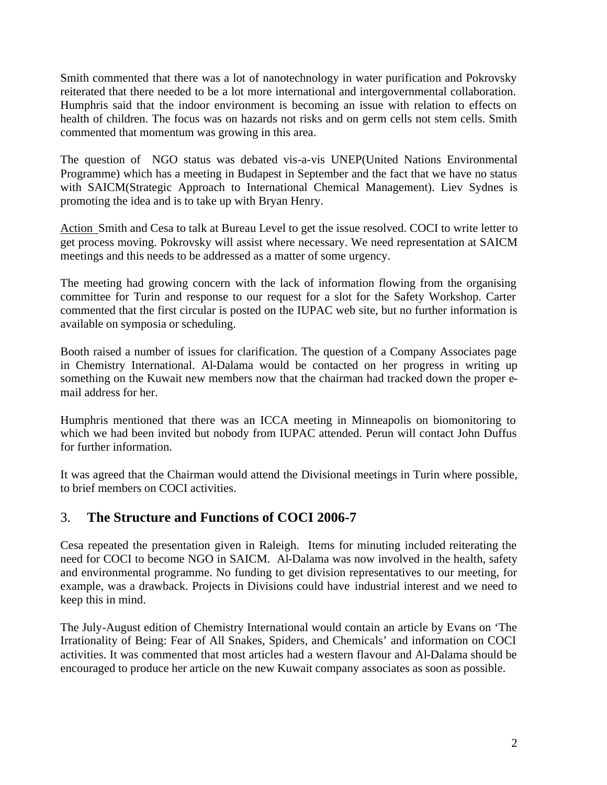Smith commented that there was a lot of nanotechnology in water purification and Pokrovsky reiterated that there needed to be a lot more international and intergovernmental collaboration. Humphris said that the indoor environment is becoming an issue with relation to effects on health of children. The focus was on hazards not risks and on germ cells not stem cells. Smith commented that momentum was growing in this area.

The question of NGO status was debated vis-a-vis UNEP(United Nations Environmental Programme) which has a meeting in Budapest in September and the fact that we have no status with SAICM(Strategic Approach to International Chemical Management). Liev Sydnes is promoting the idea and is to take up with Bryan Henry.

Action Smith and Cesa to talk at Bureau Level to get the issue resolved. COCI to write letter to get process moving. Pokrovsky will assist where necessary. We need representation at SAICM meetings and this needs to be addressed as a matter of some urgency.

The meeting had growing concern with the lack of information flowing from the organising committee for Turin and response to our request for a slot for the Safety Workshop. Carter commented that the first circular is posted on the IUPAC web site, but no further information is available on symposia or scheduling.

Booth raised a number of issues for clarification. The question of a Company Associates page in Chemistry International. Al-Dalama would be contacted on her progress in writing up something on the Kuwait new members now that the chairman had tracked down the proper email address for her.

Humphris mentioned that there was an ICCA meeting in Minneapolis on biomonitoring to which we had been invited but nobody from IUPAC attended. Perun will contact John Duffus for further information.

It was agreed that the Chairman would attend the Divisional meetings in Turin where possible, to brief members on COCI activities.

### 3. **The Structure and Functions of COCI 2006-7**

Cesa repeated the presentation given in Raleigh. Items for minuting included reiterating the need for COCI to become NGO in SAICM. Al-Dalama was now involved in the health, safety and environmental programme. No funding to get division representatives to our meeting, for example, was a drawback. Projects in Divisions could have industrial interest and we need to keep this in mind.

The July-August edition of Chemistry International would contain an article by Evans on 'The Irrationality of Being: Fear of All Snakes, Spiders, and Chemicals' and information on COCI activities. It was commented that most articles had a western flavour and Al-Dalama should be encouraged to produce her article on the new Kuwait company associates as soon as possible.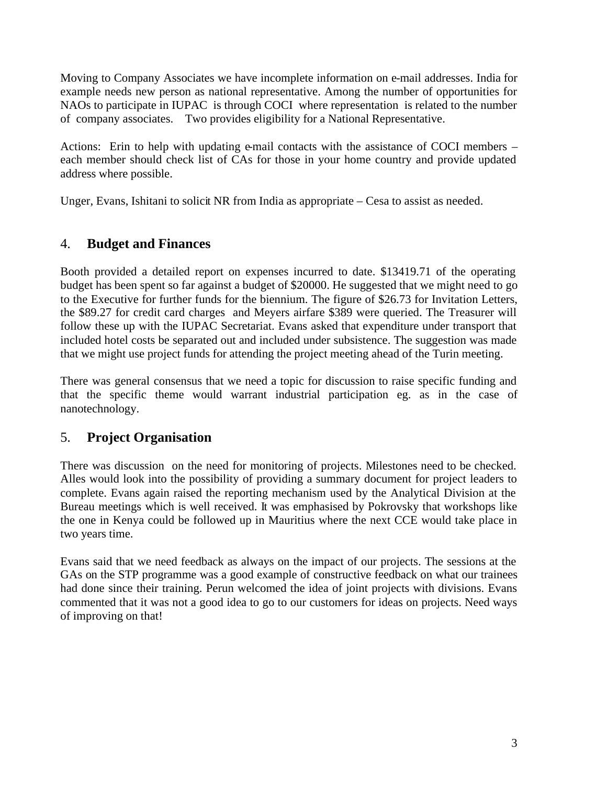Moving to Company Associates we have incomplete information on e-mail addresses. India for example needs new person as national representative. Among the number of opportunities for NAOs to participate in IUPAC is through COCI where representation is related to the number of company associates. Two provides eligibility for a National Representative.

Actions: Erin to help with updating e-mail contacts with the assistance of COCI members – each member should check list of CAs for those in your home country and provide updated address where possible.

Unger, Evans, Ishitani to solicit NR from India as appropriate – Cesa to assist as needed.

#### 4. **Budget and Finances**

Booth provided a detailed report on expenses incurred to date. \$13419.71 of the operating budget has been spent so far against a budget of \$20000. He suggested that we might need to go to the Executive for further funds for the biennium. The figure of \$26.73 for Invitation Letters, the \$89.27 for credit card charges and Meyers airfare \$389 were queried. The Treasurer will follow these up with the IUPAC Secretariat. Evans asked that expenditure under transport that included hotel costs be separated out and included under subsistence. The suggestion was made that we might use project funds for attending the project meeting ahead of the Turin meeting.

There was general consensus that we need a topic for discussion to raise specific funding and that the specific theme would warrant industrial participation eg. as in the case of nanotechnology.

### 5. **Project Organisation**

There was discussion on the need for monitoring of projects. Milestones need to be checked. Alles would look into the possibility of providing a summary document for project leaders to complete. Evans again raised the reporting mechanism used by the Analytical Division at the Bureau meetings which is well received. It was emphasised by Pokrovsky that workshops like the one in Kenya could be followed up in Mauritius where the next CCE would take place in two years time.

Evans said that we need feedback as always on the impact of our projects. The sessions at the GAs on the STP programme was a good example of constructive feedback on what our trainees had done since their training. Perun welcomed the idea of joint projects with divisions. Evans commented that it was not a good idea to go to our customers for ideas on projects. Need ways of improving on that!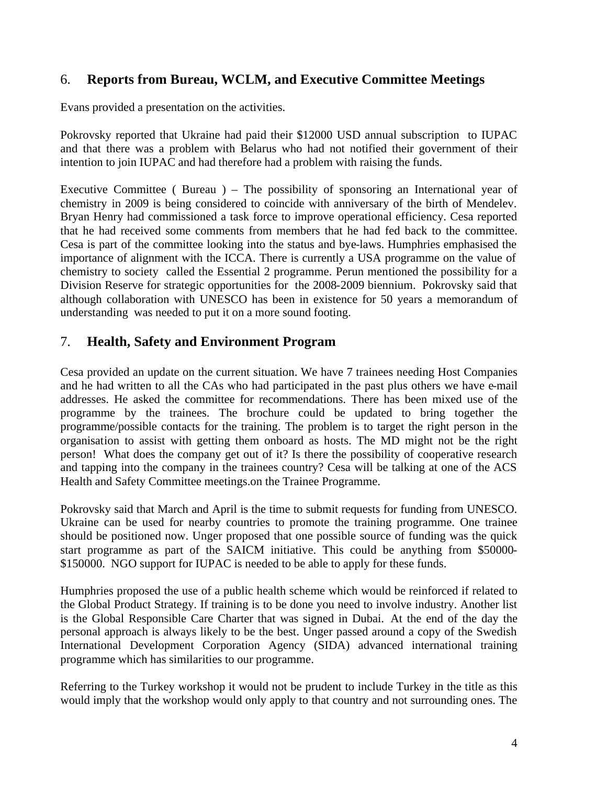# 6. **Reports from Bureau, WCLM, and Executive Committee Meetings**

Evans provided a presentation on the activities.

Pokrovsky reported that Ukraine had paid their \$12000 USD annual subscription to IUPAC and that there was a problem with Belarus who had not notified their government of their intention to join IUPAC and had therefore had a problem with raising the funds.

Executive Committee ( Bureau ) – The possibility of sponsoring an International year of chemistry in 2009 is being considered to coincide with anniversary of the birth of Mendelev. Bryan Henry had commissioned a task force to improve operational efficiency. Cesa reported that he had received some comments from members that he had fed back to the committee. Cesa is part of the committee looking into the status and bye-laws. Humphries emphasised the importance of alignment with the ICCA. There is currently a USA programme on the value of chemistry to society called the Essential 2 programme. Perun mentioned the possibility for a Division Reserve for strategic opportunities for the 2008-2009 biennium. Pokrovsky said that although collaboration with UNESCO has been in existence for 50 years a memorandum of understanding was needed to put it on a more sound footing.

### 7. **Health, Safety and Environment Program**

Cesa provided an update on the current situation. We have 7 trainees needing Host Companies and he had written to all the CAs who had participated in the past plus others we have e-mail addresses. He asked the committee for recommendations. There has been mixed use of the programme by the trainees. The brochure could be updated to bring together the programme/possible contacts for the training. The problem is to target the right person in the organisation to assist with getting them onboard as hosts. The MD might not be the right person! What does the company get out of it? Is there the possibility of cooperative research and tapping into the company in the trainees country? Cesa will be talking at one of the ACS Health and Safety Committee meetings.on the Trainee Programme.

Pokrovsky said that March and April is the time to submit requests for funding from UNESCO. Ukraine can be used for nearby countries to promote the training programme. One trainee should be positioned now. Unger proposed that one possible source of funding was the quick start programme as part of the SAICM initiative. This could be anything from \$50000- \$150000. NGO support for IUPAC is needed to be able to apply for these funds.

Humphries proposed the use of a public health scheme which would be reinforced if related to the Global Product Strategy. If training is to be done you need to involve industry. Another list is the Global Responsible Care Charter that was signed in Dubai. At the end of the day the personal approach is always likely to be the best. Unger passed around a copy of the Swedish International Development Corporation Agency (SIDA) advanced international training programme which has similarities to our programme.

Referring to the Turkey workshop it would not be prudent to include Turkey in the title as this would imply that the workshop would only apply to that country and not surrounding ones. The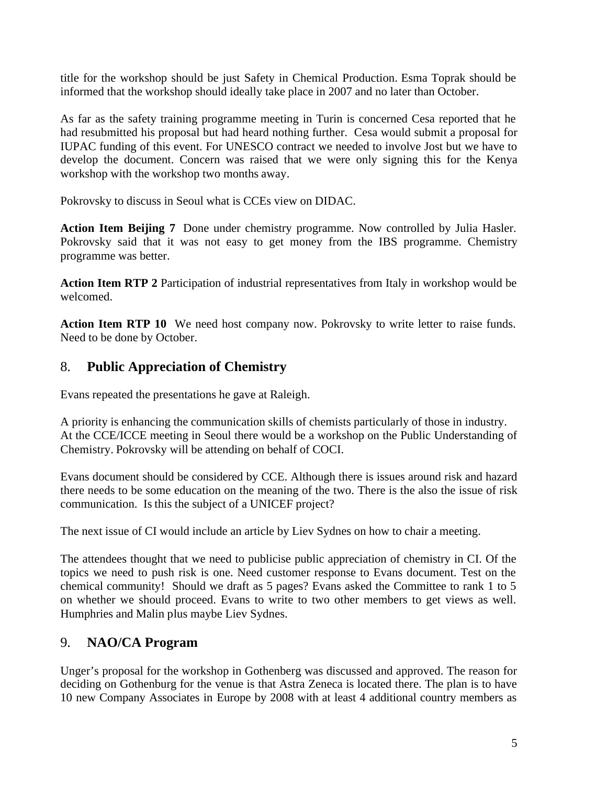title for the workshop should be just Safety in Chemical Production. Esma Toprak should be informed that the workshop should ideally take place in 2007 and no later than October.

As far as the safety training programme meeting in Turin is concerned Cesa reported that he had resubmitted his proposal but had heard nothing further. Cesa would submit a proposal for IUPAC funding of this event. For UNESCO contract we needed to involve Jost but we have to develop the document. Concern was raised that we were only signing this for the Kenya workshop with the workshop two months away.

Pokrovsky to discuss in Seoul what is CCEs view on DIDAC.

**Action Item Beijing 7** Done under chemistry programme. Now controlled by Julia Hasler. Pokrovsky said that it was not easy to get money from the IBS programme. Chemistry programme was better.

**Action Item RTP 2** Participation of industrial representatives from Italy in workshop would be welcomed.

Action Item RTP 10 We need host company now. Pokrovsky to write letter to raise funds. Need to be done by October.

# 8. **Public Appreciation of Chemistry**

Evans repeated the presentations he gave at Raleigh.

A priority is enhancing the communication skills of chemists particularly of those in industry. At the CCE/ICCE meeting in Seoul there would be a workshop on the Public Understanding of Chemistry. Pokrovsky will be attending on behalf of COCI.

Evans document should be considered by CCE. Although there is issues around risk and hazard there needs to be some education on the meaning of the two. There is the also the issue of risk communication. Is this the subject of a UNICEF project?

The next issue of CI would include an article by Liev Sydnes on how to chair a meeting.

The attendees thought that we need to publicise public appreciation of chemistry in CI. Of the topics we need to push risk is one. Need customer response to Evans document. Test on the chemical community! Should we draft as 5 pages? Evans asked the Committee to rank 1 to 5 on whether we should proceed. Evans to write to two other members to get views as well. Humphries and Malin plus maybe Liev Sydnes.

# 9. **NAO/CA Program**

Unger's proposal for the workshop in Gothenberg was discussed and approved. The reason for deciding on Gothenburg for the venue is that Astra Zeneca is located there. The plan is to have 10 new Company Associates in Europe by 2008 with at least 4 additional country members as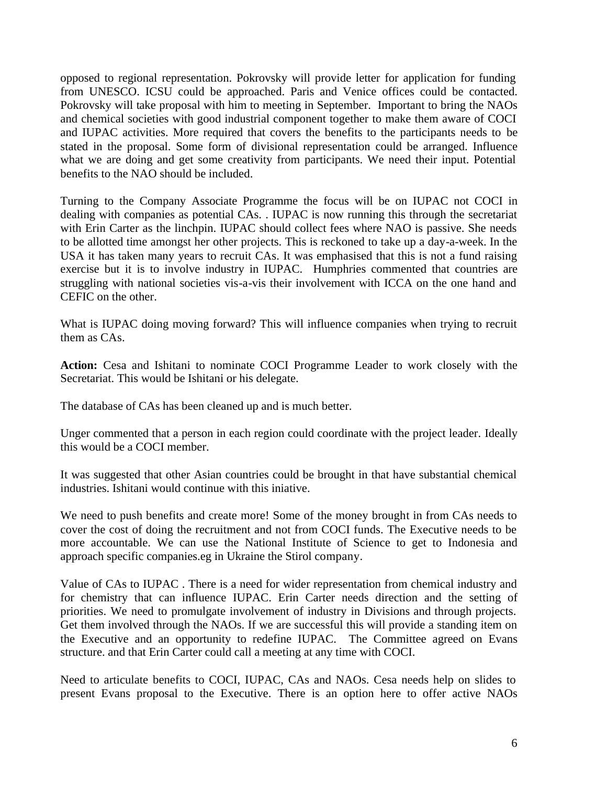opposed to regional representation. Pokrovsky will provide letter for application for funding from UNESCO. ICSU could be approached. Paris and Venice offices could be contacted. Pokrovsky will take proposal with him to meeting in September. Important to bring the NAOs and chemical societies with good industrial component together to make them aware of COCI and IUPAC activities. More required that covers the benefits to the participants needs to be stated in the proposal. Some form of divisional representation could be arranged. Influence what we are doing and get some creativity from participants. We need their input. Potential benefits to the NAO should be included.

Turning to the Company Associate Programme the focus will be on IUPAC not COCI in dealing with companies as potential CAs. . IUPAC is now running this through the secretariat with Erin Carter as the linchpin. IUPAC should collect fees where NAO is passive. She needs to be allotted time amongst her other projects. This is reckoned to take up a day-a-week. In the USA it has taken many years to recruit CAs. It was emphasised that this is not a fund raising exercise but it is to involve industry in IUPAC. Humphries commented that countries are struggling with national societies vis-a-vis their involvement with ICCA on the one hand and CEFIC on the other.

What is IUPAC doing moving forward? This will influence companies when trying to recruit them as CAs.

**Action:** Cesa and Ishitani to nominate COCI Programme Leader to work closely with the Secretariat. This would be Ishitani or his delegate.

The database of CAs has been cleaned up and is much better.

Unger commented that a person in each region could coordinate with the project leader. Ideally this would be a COCI member.

It was suggested that other Asian countries could be brought in that have substantial chemical industries. Ishitani would continue with this iniative.

We need to push benefits and create more! Some of the money brought in from CAs needs to cover the cost of doing the recruitment and not from COCI funds. The Executive needs to be more accountable. We can use the National Institute of Science to get to Indonesia and approach specific companies.eg in Ukraine the Stirol company.

Value of CAs to IUPAC . There is a need for wider representation from chemical industry and for chemistry that can influence IUPAC. Erin Carter needs direction and the setting of priorities. We need to promulgate involvement of industry in Divisions and through projects. Get them involved through the NAOs. If we are successful this will provide a standing item on the Executive and an opportunity to redefine IUPAC. The Committee agreed on Evans structure. and that Erin Carter could call a meeting at any time with COCI.

Need to articulate benefits to COCI, IUPAC, CAs and NAOs. Cesa needs help on slides to present Evans proposal to the Executive. There is an option here to offer active NAOs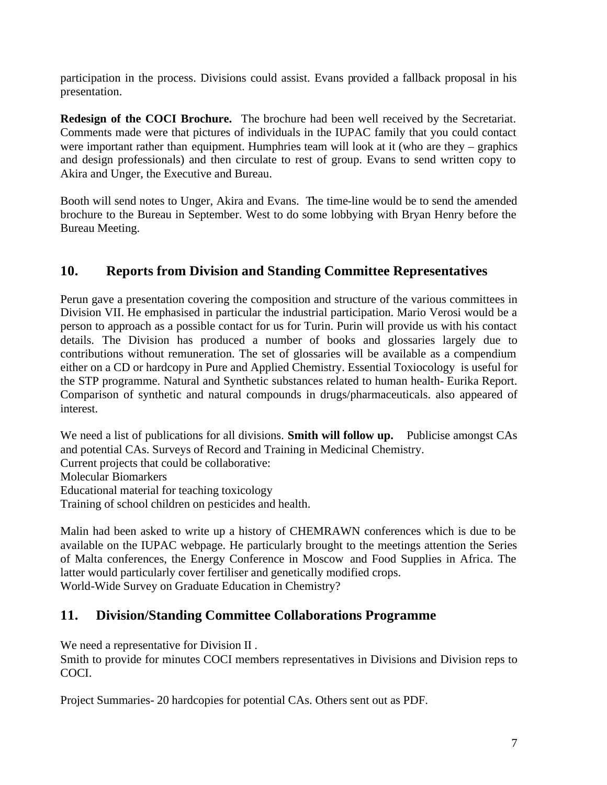participation in the process. Divisions could assist. Evans provided a fallback proposal in his presentation.

**Redesign of the COCI Brochure.** The brochure had been well received by the Secretariat. Comments made were that pictures of individuals in the IUPAC family that you could contact were important rather than equipment. Humphries team will look at it (who are they – graphics and design professionals) and then circulate to rest of group. Evans to send written copy to Akira and Unger, the Executive and Bureau.

Booth will send notes to Unger, Akira and Evans. The time-line would be to send the amended brochure to the Bureau in September. West to do some lobbying with Bryan Henry before the Bureau Meeting.

# **10. Reports from Division and Standing Committee Representatives**

Perun gave a presentation covering the composition and structure of the various committees in Division VII. He emphasised in particular the industrial participation. Mario Verosi would be a person to approach as a possible contact for us for Turin. Purin will provide us with his contact details. The Division has produced a number of books and glossaries largely due to contributions without remuneration. The set of glossaries will be available as a compendium either on a CD or hardcopy in Pure and Applied Chemistry. Essential Toxiocology is useful for the STP programme. Natural and Synthetic substances related to human health- Eurika Report. Comparison of synthetic and natural compounds in drugs/pharmaceuticals. also appeared of interest.

We need a list of publications for all divisions. **Smith will follow up.** Publicise amongst CAs and potential CAs. Surveys of Record and Training in Medicinal Chemistry. Current projects that could be collaborative: Molecular Biomarkers Educational material for teaching toxicology Training of school children on pesticides and health.

Malin had been asked to write up a history of CHEMRAWN conferences which is due to be available on the IUPAC webpage. He particularly brought to the meetings attention the Series of Malta conferences, the Energy Conference in Moscow and Food Supplies in Africa. The latter would particularly cover fertiliser and genetically modified crops. World-Wide Survey on Graduate Education in Chemistry?

### **11. Division/Standing Committee Collaborations Programme**

We need a representative for Division II .

Smith to provide for minutes COCI members representatives in Divisions and Division reps to COCI.

Project Summaries- 20 hardcopies for potential CAs. Others sent out as PDF.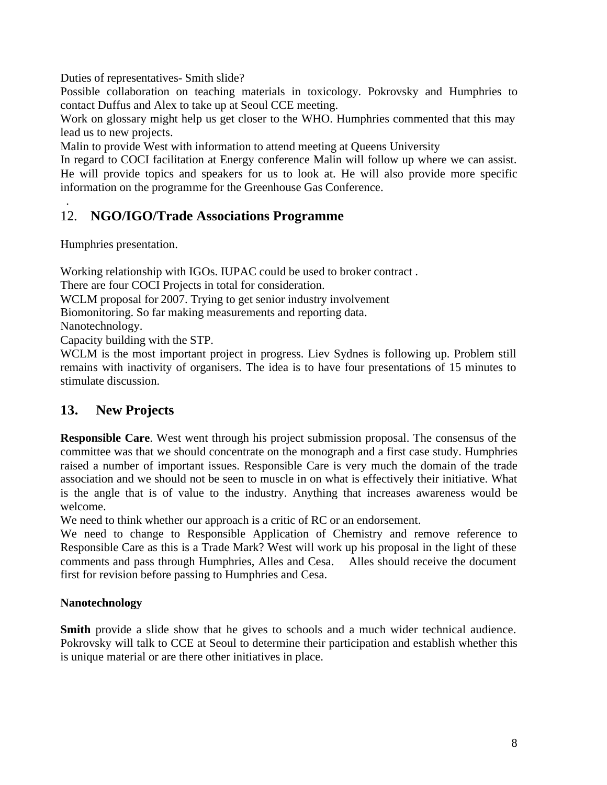Duties of representatives- Smith slide?

Possible collaboration on teaching materials in toxicology. Pokrovsky and Humphries to contact Duffus and Alex to take up at Seoul CCE meeting.

Work on glossary might help us get closer to the WHO. Humphries commented that this may lead us to new projects.

Malin to provide West with information to attend meeting at Queens University

In regard to COCI facilitation at Energy conference Malin will follow up where we can assist. He will provide topics and speakers for us to look at. He will also provide more specific information on the programme for the Greenhouse Gas Conference.

# 12. **NGO/IGO/Trade Associations Programme**

Humphries presentation.

Working relationship with IGOs. IUPAC could be used to broker contract .

There are four COCI Projects in total for consideration.

WCLM proposal for 2007. Trying to get senior industry involvement

Biomonitoring. So far making measurements and reporting data.

Nanotechnology.

.

Capacity building with the STP.

WCLM is the most important project in progress. Liev Sydnes is following up. Problem still remains with inactivity of organisers. The idea is to have four presentations of 15 minutes to stimulate discussion.

### **13. New Projects**

**Responsible Care**. West went through his project submission proposal. The consensus of the committee was that we should concentrate on the monograph and a first case study. Humphries raised a number of important issues. Responsible Care is very much the domain of the trade association and we should not be seen to muscle in on what is effectively their initiative. What is the angle that is of value to the industry. Anything that increases awareness would be welcome.

We need to think whether our approach is a critic of RC or an endorsement.

We need to change to Responsible Application of Chemistry and remove reference to Responsible Care as this is a Trade Mark? West will work up his proposal in the light of these comments and pass through Humphries, Alles and Cesa. Alles should receive the document first for revision before passing to Humphries and Cesa.

#### **Nanotechnology**

**Smith** provide a slide show that he gives to schools and a much wider technical audience. Pokrovsky will talk to CCE at Seoul to determine their participation and establish whether this is unique material or are there other initiatives in place.